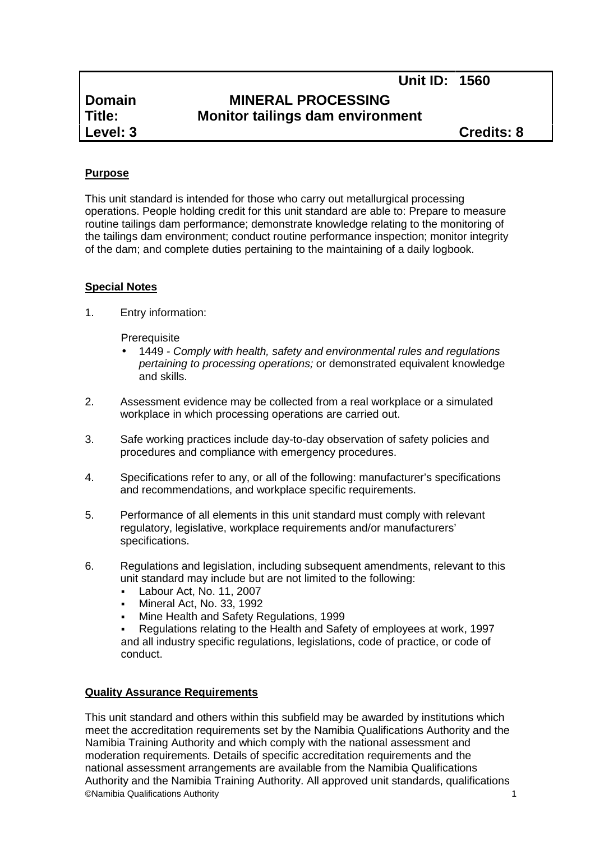# **Domain**<br> **MINERAL PROCESSING**<br> **Monitor tailings dam environing Title: Monitor tailings dam environment**

**Level: 3 Credits: 8**

# **Purpose**

This unit standard is intended for those who carry out metallurgical processing operations. People holding credit for this unit standard are able to: Prepare to measure routine tailings dam performance; demonstrate knowledge relating to the monitoring of the tailings dam environment; conduct routine performance inspection; monitor integrity of the dam; and complete duties pertaining to the maintaining of a daily logbook.

## **Special Notes**

1. Entry information:

**Prerequisite** 

- 1449 *- Comply with health, safety and environmental rules and regulations pertaining to processing operations;* or demonstrated equivalent knowledge and skills.
- 2. Assessment evidence may be collected from a real workplace or a simulated workplace in which processing operations are carried out.
- 3. Safe working practices include day-to-day observation of safety policies and procedures and compliance with emergency procedures.
- 4. Specifications refer to any, or all of the following: manufacturer's specifications and recommendations, and workplace specific requirements.
- 5. Performance of all elements in this unit standard must comply with relevant regulatory, legislative, workplace requirements and/or manufacturers' specifications.
- 6. Regulations and legislation, including subsequent amendments, relevant to this unit standard may include but are not limited to the following:
	- **Labour Act, No. 11, 2007**
	- Mineral Act, No. 33, 1992
	- Mine Health and Safety Regulations, 1999

 Regulations relating to the Health and Safety of employees at work, 1997 and all industry specific regulations, legislations, code of practice, or code of conduct.

#### **Quality Assurance Requirements**

©Namibia Qualifications Authority 1 This unit standard and others within this subfield may be awarded by institutions which meet the accreditation requirements set by the Namibia Qualifications Authority and the Namibia Training Authority and which comply with the national assessment and moderation requirements. Details of specific accreditation requirements and the national assessment arrangements are available from the Namibia Qualifications Authority and the Namibia Training Authority. All approved unit standards, qualifications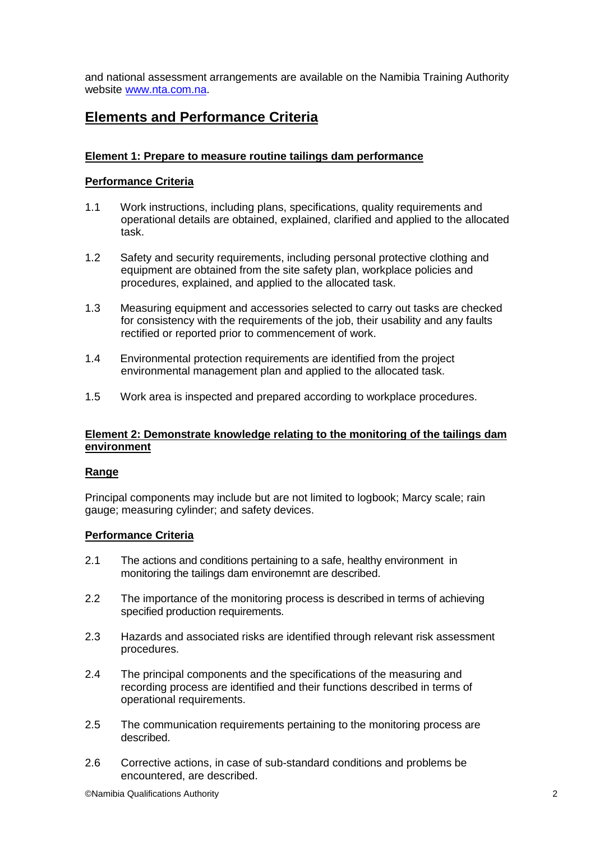and national assessment arrangements are available on the Namibia Training Authority website www.nta.com.na.

# **Elements and Performance Criteria**

### **Element 1: Prepare to measure routine tailings dam performance**

#### **Performance Criteria**

- 1.1 Work instructions, including plans, specifications, quality requirements and operational details are obtained, explained, clarified and applied to the allocated task.
- 1.2 Safety and security requirements, including personal protective clothing and equipment are obtained from the site safety plan, workplace policies and procedures, explained, and applied to the allocated task.
- 1.3 Measuring equipment and accessories selected to carry out tasks are checked for consistency with the requirements of the job, their usability and any faults rectified or reported prior to commencement of work.
- 1.4 Environmental protection requirements are identified from the project environmental management plan and applied to the allocated task.
- 1.5 Work area is inspected and prepared according to workplace procedures.

#### **Element 2: Demonstrate knowledge relating to the monitoring of the tailings dam environment**

#### **Range**

Principal components may include but are not limited to logbook; Marcy scale; rain gauge; measuring cylinder; and safety devices.

#### **Performance Criteria**

- 2.1 The actions and conditions pertaining to a safe, healthy environment in monitoring the tailings dam environemnt are described.
- 2.2 The importance of the monitoring process is described in terms of achieving specified production requirements.
- 2.3 Hazards and associated risks are identified through relevant risk assessment procedures.
- 2.4 The principal components and the specifications of the measuring and recording process are identified and their functions described in terms of operational requirements.
- 2.5 The communication requirements pertaining to the monitoring process are described.
- 2.6 Corrective actions, in case of sub-standard conditions and problems be encountered, are described.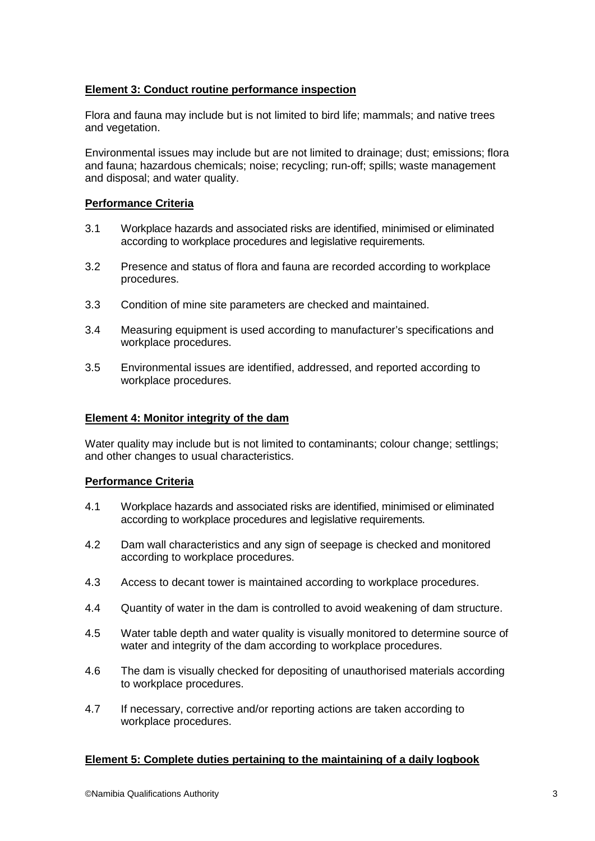#### **Element 3: Conduct routine performance inspection**

Flora and fauna may include but is not limited to bird life; mammals; and native trees and vegetation.

Environmental issues may include but are not limited to drainage; dust; emissions; flora and fauna; hazardous chemicals; noise; recycling; run-off; spills; waste management and disposal; and water quality.

#### **Performance Criteria**

- 3.1 Workplace hazards and associated risks are identified, minimised or eliminated according to workplace procedures and legislative requirements.
- 3.2 Presence and status of flora and fauna are recorded according to workplace procedures.
- 3.3 Condition of mine site parameters are checked and maintained.
- 3.4 Measuring equipment is used according to manufacturer's specifications and workplace procedures.
- 3.5 Environmental issues are identified, addressed, and reported according to workplace procedures.

#### **Element 4: Monitor integrity of the dam**

Water quality may include but is not limited to contaminants; colour change; settlings; and other changes to usual characteristics.

#### **Performance Criteria**

- 4.1 Workplace hazards and associated risks are identified, minimised or eliminated according to workplace procedures and legislative requirements.
- 4.2 Dam wall characteristics and any sign of seepage is checked and monitored according to workplace procedures.
- 4.3 Access to decant tower is maintained according to workplace procedures.
- 4.4 Quantity of water in the dam is controlled to avoid weakening of dam structure.
- 4.5 Water table depth and water quality is visually monitored to determine source of water and integrity of the dam according to workplace procedures.
- 4.6 The dam is visually checked for depositing of unauthorised materials according to workplace procedures.
- 4.7 If necessary, corrective and/or reporting actions are taken according to workplace procedures.

#### **Element 5: Complete duties pertaining to the maintaining of a daily logbook**